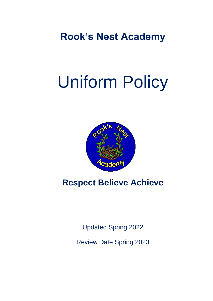**Rook's Nest Academy**

# Uniform Policy



# **Respect Believe Achieve**

Updated Spring 2022

Review Date Spring 2023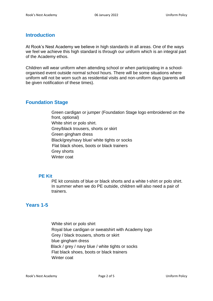# **Introduction**

At Rook's Nest Academy we believe in high standards in all areas. One of the ways we feel we achieve this high standard is through our uniform which is an integral part of the Academy ethos.

Children will wear uniform when attending school or when participating in a schoolorganised event outside normal school hours. There will be some situations where uniform will not be worn such as residential visits and non-uniform days (parents will be given notification of these times).

# **Foundation Stage**

Green cardigan or jumper (Foundation Stage logo embroidered on the front, optional) White shirt or polo shirt. Grey/black trousers, shorts or skirt Green gingham dress Black/grey/navy blue/ white tights or socks Flat black shoes, boots or black trainers Grey shorts Winter coat

#### **PE Kit**

PE kit consists of blue or black shorts and a white t-shirt or polo shirt. In summer when we do PE outside, children will also need a pair of trainers.

# **Years 1-5**

White shirt or polo shirt Royal blue cardigan or sweatshirt with Academy logo Grey / black trousers, shorts or skirt blue gingham dress Black / grey / navy blue / white tights or socks Flat black shoes, boots or black trainers Winter coat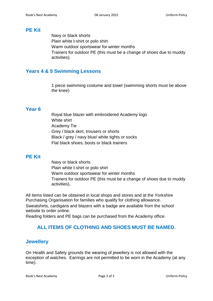#### **PE Kit**

Navy or black shorts Plain white t-shirt or polo shirt Warm outdoor sportswear for winter months Trainers for outdoor PE (this must be a change of shoes due to muddy activities).

# **Years 4 & 5 Swimming Lessons**

1 piece swimming costume and towel (swimming shorts must be above the knee)

# **Year 6**

Royal blue blazer with embroidered Academy logo White shirt Academy Tie Grey / black skirt, trousers or shorts Black / grey / navy blue/ white tights or socks Flat black shoes, boots or black trainers

#### **PE Kit**

Navy or black shorts Plain white t-shirt or polo shirt Warm outdoor sportswear for winter months Trainers for outdoor PE (this must be a change of shoes due to muddy activities).

All items listed can be obtained in local shops and stores and at the Yorkshire Purchasing Organisation for families who qualify for clothing allowance. Sweatshirts, cardigans and blazers with a badge are available from the school website to order online.

Reading folders and PE bags can be purchased from the Academy office.

# **ALL ITEMS OF CLOTHING AND SHOES MUST BE NAMED.**

# **Jewellery**

On Health and Safety grounds the wearing of jewellery is not allowed with the exception of watches. Earrings are not permitted to be worn in the Academy (at any time).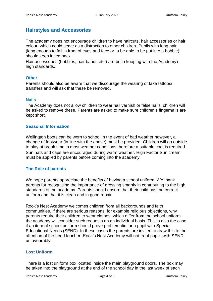# **Hairstyles and Accessories**

The academy does not encourage children to have haircuts, hair accessories or hair colour, which could serve as a distraction to other children. Pupils with long hair (long enough to fall in front of eyes and face or to be able to be put into a bobble) should keep it tied back.

Hair accessories (bobbles, hair bands etc.) are be in keeping with the Academy's high standards.

#### **Other**

Parents should also be aware that we discourage the wearing of fake tattoos/ transfers and will ask that these be removed.

#### **Nails**

The Academy does not allow children to wear nail varnish or false nails, children will be asked to remove these. Parents are asked to make sure children's fingernails are kept short.

#### **Seasonal Information**

Wellington boots can be worn to school in the event of bad weather however, a change of footwear (in line with the above) must be provided. Children will go outside to play at break time in most weather conditions therefore a suitable coat is required. Sun hats and caps are encouraged during warm weather. High Factor Sun cream must be applied by parents before coming into the academy.

#### **The Role of parents**

We hope parents appreciate the benefits of having a school uniform. We thank parents for recognising the importance of dressing smartly in contributing to the high standards of the academy. Parents should ensure that their child has the correct uniform and that it is clean and in good repair.

Rook's Nest Academy welcomes children from all backgrounds and faith communities. If there are serious reasons, for example religious objections, why parents require their children to wear clothes, which differ from the school uniform the academy will consider such requests on an individual basis. This is also the case if an item of school uniform should prove problematic for a pupil with Special Educational Needs (SEND). In these cases the parents are invited to draw this to the attention of the head teacher. Rook's Nest Academy will not treat pupils with SEND unfavourably.

#### **Lost Uniform**

There is a lost uniform box located inside the main playground doors. The box may be taken into the playground at the end of the school day in the last week of each